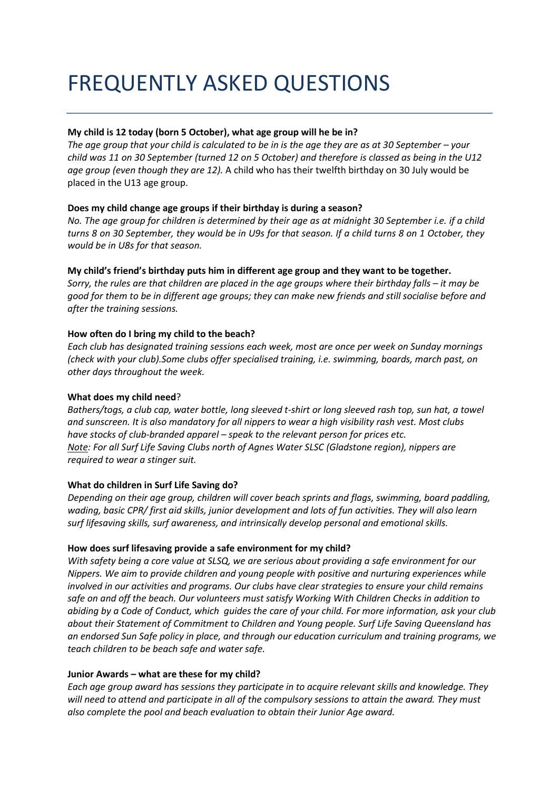# FREQUENTLY ASKED QUESTIONS

## **My child is 12 today (born 5 October), what age group will he be in?**

*The age group that your child is calculated to be in is the age they are as at 30 September – your child was 11 on 30 September (turned 12 on 5 October) and therefore is classed as being in the U12 age group (even though they are 12).* A child who has their twelfth birthday on 30 July would be placed in the U13 age group.

## **Does my child change age groups if their birthday is during a season?**

*No. The age group for children is determined by their age as at midnight 30 September i.e. if a child turns 8 on 30 September, they would be in U9s for that season. If a child turns 8 on 1 October, they would be in U8s for that season.*

## **My child's friend's birthday puts him in different age group and they want to be together.**

*Sorry, the rules are that children are placed in the age groups where their birthday falls – it may be good for them to be in different age groups; they can make new friends and still socialise before and after the training sessions.*

## **How often do I bring my child to the beach?**

*Each club has designated training sessions each week, most are once per week on Sunday mornings (check with your club).Some clubs offer specialised training, i.e. swimming, boards, march past, on other days throughout the week.*

### **What does my child need**?

*Bathers/togs, a club cap, water bottle, long sleeved t-shirt or long sleeved rash top, sun hat, a towel and sunscreen. It is also mandatory for all nippers to wear a high visibility rash vest. Most clubs have stocks of club-branded apparel – speak to the relevant person for prices etc. Note: For all Surf Life Saving Clubs north of Agnes Water SLSC (Gladstone region), nippers are required to wear a stinger suit.*

### **What do children in Surf Life Saving do?**

*Depending on their age group, children will cover beach sprints and flags, swimming, board paddling, wading, basic CPR/ first aid skills, junior development and lots of fun activities. They will also learn surf lifesaving skills, surf awareness, and intrinsically develop personal and emotional skills.*

### **How does surf lifesaving provide a safe environment for my child?**

*With safety being a core value at SLSQ, we are serious about providing a safe environment for our Nippers. We aim to provide children and young people with positive and nurturing experiences while involved in our activities and programs. Our clubs have clear strategies to ensure your child remains safe on and off the beach. Our volunteers must satisfy Working With Children Checks in addition to abiding by a Code of Conduct, which guides the care of your child. For more information, ask your club about their Statement of Commitment to Children and Young people. Surf Life Saving Queensland has an endorsed Sun Safe policy in place, and through our education curriculum and training programs, we teach children to be beach safe and water safe.* 

### **Junior Awards – what are these for my child?**

*Each age group award has sessions they participate in to acquire relevant skills and knowledge. They will need to attend and participate in all of the compulsory sessions to attain the award. They must also complete the pool and beach evaluation to obtain their Junior Age award.*